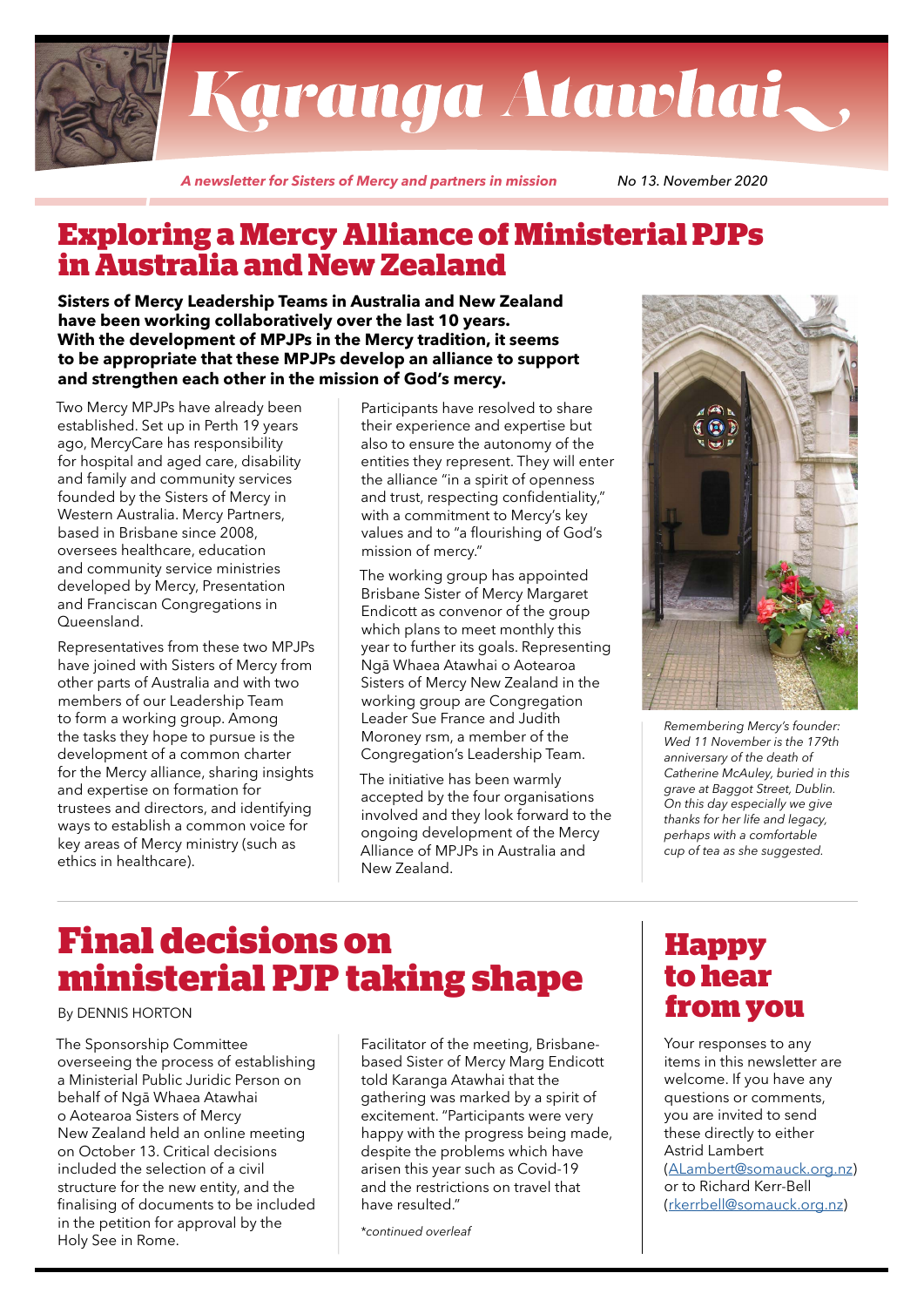

# Karanga Atawhai,

*A newsletter for Sisters of Mercy and partners in mission No 13. November 2020*

## **Exploring a Mercy Alliance of Ministerial PJPs in Australia and New Zealand**

**Sisters of Mercy Leadership Teams in Australia and New Zealand have been working collaboratively over the last 10 years. With the development of MPJPs in the Mercy tradition, it seems to be appropriate that these MPJPs develop an alliance to support and strengthen each other in the mission of God's mercy.**

Two Mercy MPJPs have already been established. Set up in Perth 19 years ago, MercyCare has responsibility for hospital and aged care, disability and family and community services founded by the Sisters of Mercy in Western Australia. Mercy Partners, based in Brisbane since 2008, oversees healthcare, education and community service ministries developed by Mercy, Presentation and Franciscan Congregations in Queensland.

Representatives from these two MPJPs have joined with Sisters of Mercy from other parts of Australia and with two members of our Leadership Team to form a working group. Among the tasks they hope to pursue is the development of a common charter for the Mercy alliance, sharing insights and expertise on formation for trustees and directors, and identifying ways to establish a common voice for key areas of Mercy ministry (such as ethics in healthcare).

Participants have resolved to share their experience and expertise but also to ensure the autonomy of the entities they represent. They will enter the alliance "in a spirit of openness and trust, respecting confidentiality," with a commitment to Mercy's key values and to "a flourishing of God's mission of mercy."

The working group has appointed Brisbane Sister of Mercy Margaret Endicott as convenor of the group which plans to meet monthly this year to further its goals. Representing Ngā Whaea Atawhai o Aotearoa Sisters of Mercy New Zealand in the working group are Congregation Leader Sue France and Judith Moroney rsm, a member of the Congregation's Leadership Team.

The initiative has been warmly accepted by the four organisations involved and they look forward to the ongoing development of the Mercy Alliance of MPJPs in Australia and New Zealand.



*Remembering Mercy's founder: Wed 11 November is the 179th anniversary of the death of Catherine McAuley, buried in this grave at Baggot Street, Dublin. On this day especially we give thanks for her life and legacy, perhaps with a comfortable cup of tea as she suggested.*

# **Final decisions on ministerial PJP taking shape**

#### By DENNIS HORTON

The Sponsorship Committee overseeing the process of establishing a Ministerial Public Juridic Person on behalf of Ngā Whaea Atawhai o Aotearoa Sisters of Mercy New Zealand held an online meeting on October 13. Critical decisions included the selection of a civil structure for the new entity, and the finalising of documents to be included in the petition for approval by the Holy See in Rome.

Facilitator of the meeting, Brisbanebased Sister of Mercy Marg Endicott told Karanga Atawhai that the gathering was marked by a spirit of excitement. "Participants were very happy with the progress being made, despite the problems which have arisen this year such as Covid-19 and the restrictions on travel that have resulted."

*\*continued overleaf*

### **Happy to hear from you**

Your responses to any items in this newsletter are welcome. If you have any questions or comments, you are invited to send these directly to either Astrid Lambert ([ALambert@somauck.org.nz\)](mailto:ALambert%40somauck.org.nz?subject=Karanga%20Atawhai%20feedback)

or to Richard Kerr-Bell ([rkerrbell@somauck.org.nz](mailto:rkerrbell%40somauck.org.nz?subject=Karanga%20Atawhai%20feedback))